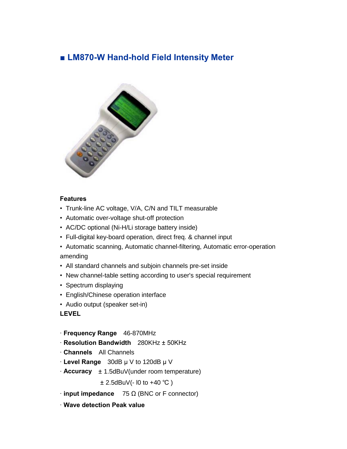## ■ **LM870-W Hand-hold Field Intensity Meter**



## **Features**

- Trunk-line AC voltage, V/A, C/N and TILT measurable
- Automatic over-voltage shut-off protection
- AC/DC optional (Ni-H/Li storage battery inside)
- Full-digital key-board operation, direct freq. & channel input
- Automatic scanning, Automatic channel-filtering, Automatic error-operation amending
- All standard channels and subjoin channels pre-set inside
- New channel-table setting according to user's special requirement
- Spectrum displaying
- English/Chinese operation interface
- Audio output (speaker set-in)

## **LEVEL**

- · **Frequency Range** 46-870MHz
- · **Resolution Bandwidth** 280KHz ± 50KHz
- · **Channels** All Channels
- $\cdot$  **Level Range** 30dB  $\mu$  V to 120dB  $\mu$  V
- · **Accuracy** ± 1.5dBuV(under room temperature)

± 2.5dBuV(- l0 to +40 ℃ )

- $\cdot$  **input impedance** 75  $\Omega$  (BNC or F connector)
- · **Wave detection Peak value**